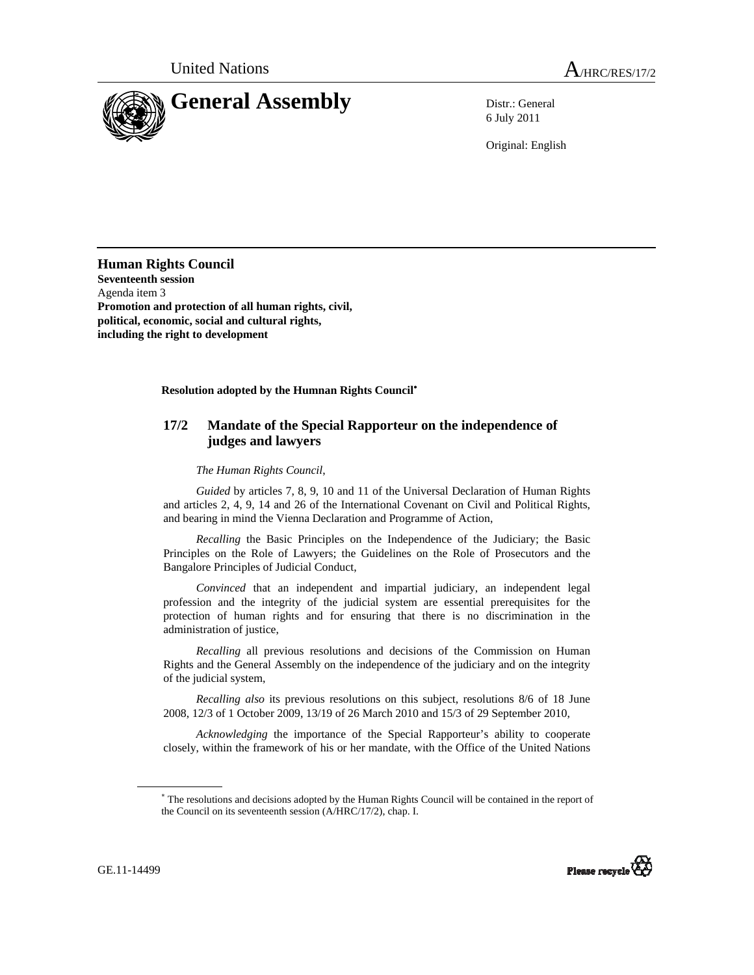

6 July 2011

Original: English

**Human Rights Council Seventeenth session**  Agenda item 3 **Promotion and protection of all human rights, civil, political, economic, social and cultural rights, including the right to development** 

**Resolution adopted by the Humnan Rights Council**<sup>∗</sup>

## **17/2 Mandate of the Special Rapporteur on the independence of judges and lawyers**

 *The Human Rights Council*,

 *Guided* by articles 7, 8, 9, 10 and 11 of the Universal Declaration of Human Rights and articles 2, 4, 9, 14 and 26 of the International Covenant on Civil and Political Rights, and bearing in mind the Vienna Declaration and Programme of Action,

 *Recalling* the Basic Principles on the Independence of the Judiciary; the Basic Principles on the Role of Lawyers; the Guidelines on the Role of Prosecutors and the Bangalore Principles of Judicial Conduct,

 *Convinced* that an independent and impartial judiciary, an independent legal profession and the integrity of the judicial system are essential prerequisites for the protection of human rights and for ensuring that there is no discrimination in the administration of justice,

 *Recalling* all previous resolutions and decisions of the Commission on Human Rights and the General Assembly on the independence of the judiciary and on the integrity of the judicial system,

 *Recalling also* its previous resolutions on this subject, resolutions 8/6 of 18 June 2008, 12/3 of 1 October 2009, 13/19 of 26 March 2010 and 15/3 of 29 September 2010,

 *Acknowledging* the importance of the Special Rapporteur's ability to cooperate closely, within the framework of his or her mandate, with the Office of the United Nations

<sup>∗</sup> The resolutions and decisions adopted by the Human Rights Council will be contained in the report of the Council on its seventeenth session (A/HRC/17/2), chap. I.



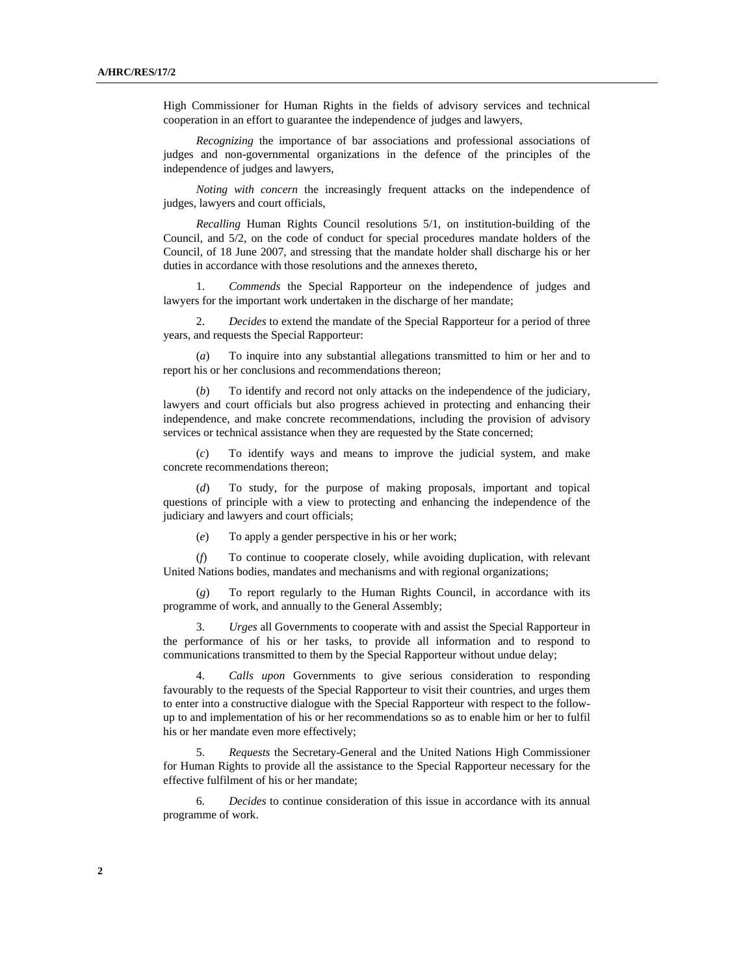High Commissioner for Human Rights in the fields of advisory services and technical cooperation in an effort to guarantee the independence of judges and lawyers,

 *Recognizing* the importance of bar associations and professional associations of judges and non-governmental organizations in the defence of the principles of the independence of judges and lawyers,

 *Noting with concern* the increasingly frequent attacks on the independence of judges, lawyers and court officials,

*Recalling* Human Rights Council resolutions 5/1, on institution-building of the Council, and 5/2, on the code of conduct for special procedures mandate holders of the Council, of 18 June 2007, and stressing that the mandate holder shall discharge his or her duties in accordance with those resolutions and the annexes thereto,

 1. *Commends* the Special Rapporteur on the independence of judges and lawyers for the important work undertaken in the discharge of her mandate;

 2. *Decides* to extend the mandate of the Special Rapporteur for a period of three years, and requests the Special Rapporteur:

 (*a*) To inquire into any substantial allegations transmitted to him or her and to report his or her conclusions and recommendations thereon;

 (*b*) To identify and record not only attacks on the independence of the judiciary, lawyers and court officials but also progress achieved in protecting and enhancing their independence, and make concrete recommendations, including the provision of advisory services or technical assistance when they are requested by the State concerned;

 (*c*) To identify ways and means to improve the judicial system, and make concrete recommendations thereon;

 (*d*) To study, for the purpose of making proposals, important and topical questions of principle with a view to protecting and enhancing the independence of the judiciary and lawyers and court officials;

(*e*) To apply a gender perspective in his or her work;

 (*f*) To continue to cooperate closely, while avoiding duplication, with relevant United Nations bodies, mandates and mechanisms and with regional organizations;

 (*g*) To report regularly to the Human Rights Council, in accordance with its programme of work, and annually to the General Assembly;

 3. *Urges* all Governments to cooperate with and assist the Special Rapporteur in the performance of his or her tasks, to provide all information and to respond to communications transmitted to them by the Special Rapporteur without undue delay;

 4. *Calls upon* Governments to give serious consideration to responding favourably to the requests of the Special Rapporteur to visit their countries, and urges them to enter into a constructive dialogue with the Special Rapporteur with respect to the followup to and implementation of his or her recommendations so as to enable him or her to fulfil his or her mandate even more effectively;

 5. *Requests* the Secretary-General and the United Nations High Commissioner for Human Rights to provide all the assistance to the Special Rapporteur necessary for the effective fulfilment of his or her mandate;

 6. *Decides* to continue consideration of this issue in accordance with its annual programme of work.